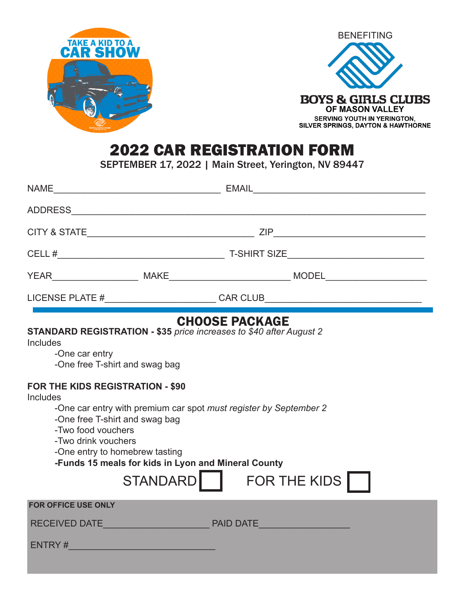



### 2022 CAR REGISTRATION FORM

SEPTEMBER 17, 2022 | Main Street, Yerington, NV 89447

|                                                                                                                                                                                                                                                                                                                                                                                                                                                                                                           | LICENSE PLATE #_____________________________CAR CLUB____________________________ |
|-----------------------------------------------------------------------------------------------------------------------------------------------------------------------------------------------------------------------------------------------------------------------------------------------------------------------------------------------------------------------------------------------------------------------------------------------------------------------------------------------------------|----------------------------------------------------------------------------------|
| <b>CHOOSE PACKAGE</b><br><b>STANDARD REGISTRATION - \$35 price increases to \$40 after August 2</b><br>Includes<br>-One car entry<br>-One free T-shirt and swag bag<br><b>FOR THE KIDS REGISTRATION - \$90</b><br><b>Includes</b><br>-One car entry with premium car spot must register by September 2<br>-One free T-shirt and swag bag<br>-Two food vouchers<br>-Two drink vouchers<br>-One entry to homebrew tasting<br>-Funds 15 meals for kids in Lyon and Mineral County<br>STANDARD   FOR THE KIDS |                                                                                  |
| <b>FOR OFFICE USE ONLY</b>                                                                                                                                                                                                                                                                                                                                                                                                                                                                                |                                                                                  |
| RECEIVED DATE PAID DATE PAID DATE                                                                                                                                                                                                                                                                                                                                                                                                                                                                         |                                                                                  |
| ENTRY #                                                                                                                                                                                                                                                                                                                                                                                                                                                                                                   |                                                                                  |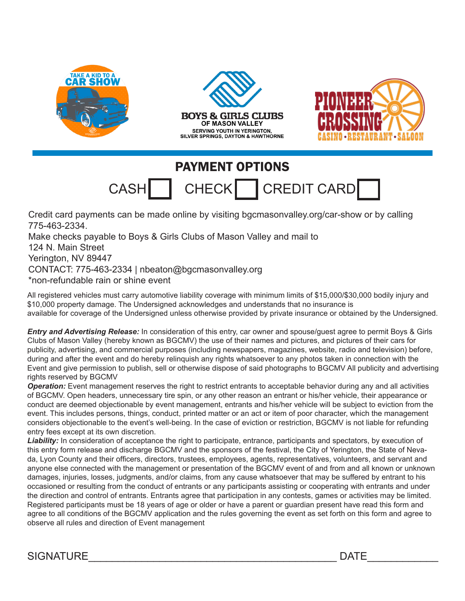

## PAYMENT OPTIONS CASH CHECK CREDIT CARD

Credit card payments can be made online by visiting bgcmasonvalley.org/car-show or by calling 775-463-2334.

Make checks payable to Boys & Girls Clubs of Mason Valley and mail to 124 N. Main Street Yerington, NV 89447 CONTACT: 775-463-2334 | nbeaton@bgcmasonvalley.org \*non-refundable rain or shine event

All registered vehicles must carry automotive liability coverage with minimum limits of \$15,000/\$30,000 bodily injury and \$10,000 property damage. The Undersigned acknowledges and understands that no insurance is available for coverage of the Undersigned unless otherwise provided by private insurance or obtained by the Undersigned.

*Entry and Advertising Release:* In consideration of this entry, car owner and spouse/guest agree to permit Boys & Girls Clubs of Mason Valley (hereby known as BGCMV) the use of their names and pictures, and pictures of their cars for publicity, advertising, and commercial purposes (including newspapers, magazines, website, radio and television) before, during and after the event and do hereby relinquish any rights whatsoever to any photos taken in connection with the Event and give permission to publish, sell or otherwise dispose of said photographs to BGCMV All publicity and advertising rights reserved by BGCMV

*Operation:* Event management reserves the right to restrict entrants to acceptable behavior during any and all activities of BGCMV. Open headers, unnecessary tire spin, or any other reason an entrant or his/her vehicle, their appearance or conduct are deemed objectionable by event management, entrants and his/her vehicle will be subject to eviction from the event. This includes persons, things, conduct, printed matter or an act or item of poor character, which the management considers objectionable to the event's well-being. In the case of eviction or restriction, BGCMV is not liable for refunding entry fees except at its own discretion.

*Liability:* In consideration of acceptance the right to participate, entrance, participants and spectators, by execution of this entry form release and discharge BGCMV and the sponsors of the festival, the City of Yerington, the State of Nevada, Lyon County and their officers, directors, trustees, employees, agents, representatives, volunteers, and servant and anyone else connected with the management or presentation of the BGCMV event of and from and all known or unknown damages, injuries, losses, judgments, and/or claims, from any cause whatsoever that may be suffered by entrant to his occasioned or resulting from the conduct of entrants or any participants assisting or cooperating with entrants and under the direction and control of entrants. Entrants agree that participation in any contests, games or activities may be limited. Registered participants must be 18 years of age or older or have a parent or guardian present have read this form and agree to all conditions of the BGCMV application and the rules governing the event as set forth on this form and agree to observe all rules and direction of Event management

SIGNATURE THE DATE OF THE SERVICE IS A REPORT OF THE SERVICE OF THE SERVICE OF THE SERVICE OF THE SERVICE OF T